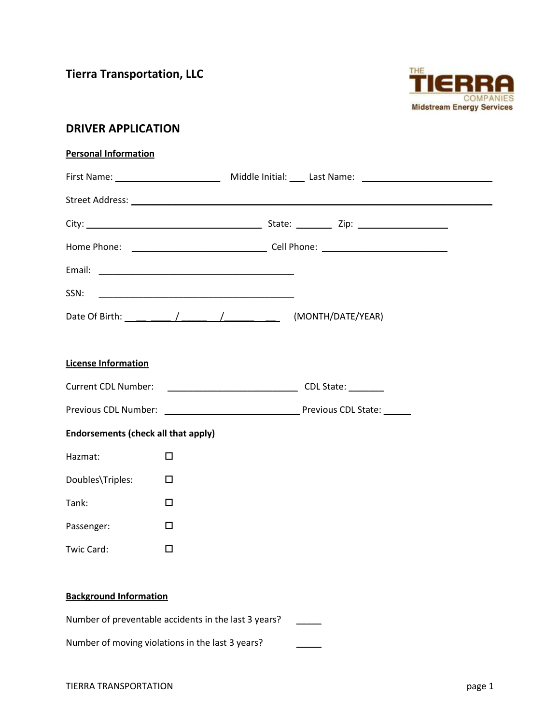**Tierra Transportation, LLC**



# **DRIVER APPLICATION**

| <b>Personal Information</b> |  |
|-----------------------------|--|
|                             |  |

| SSN:                                       | <u> 1980 - Johann Barbara, martxa alemaniar a</u>    |  |
|--------------------------------------------|------------------------------------------------------|--|
|                                            |                                                      |  |
|                                            |                                                      |  |
| <b>License Information</b>                 |                                                      |  |
|                                            | Current CDL Number: CDL State:                       |  |
|                                            |                                                      |  |
| <b>Endorsements (check all that apply)</b> |                                                      |  |
| Hazmat:                                    | $\Box$                                               |  |
| Doubles\Triples:                           | □                                                    |  |
| Tank:                                      | □                                                    |  |
| Passenger:                                 | □                                                    |  |
| Twic Card:                                 | □                                                    |  |
|                                            |                                                      |  |
| <b>Background Information</b>              |                                                      |  |
|                                            | Number of preventable accidents in the last 3 years? |  |

Number of moving violations in the last 3 years?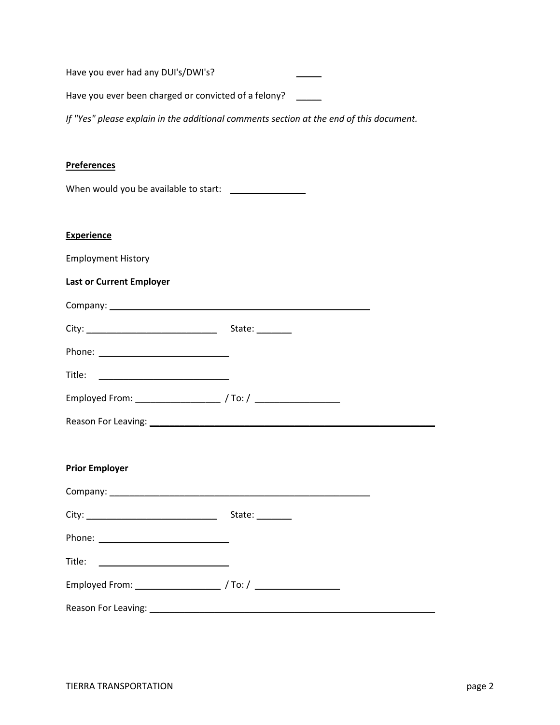Have you ever had any DUI's/DWI's?

Have you ever been charged or convicted of a felony? \_\_\_\_\_

*If "Yes" please explain in the additional comments section at the end of this document.*

### **Preferences**

When would you be available to start: \_\_\_\_\_\_\_\_\_\_\_\_\_\_\_

#### **Experience**

Employment History

## **Last or Current Employer**

| State: $\frac{1}{\sqrt{1-\frac{1}{2}}\sqrt{1-\frac{1}{2}}\sqrt{1-\frac{1}{2}}\sqrt{1-\frac{1}{2}}\sqrt{1-\frac{1}{2}}$ |  |
|------------------------------------------------------------------------------------------------------------------------|--|
|                                                                                                                        |  |
|                                                                                                                        |  |
| Employed From: / To:/                                                                                                  |  |
|                                                                                                                        |  |

### **Prior Employer**

| State: 1 |  |
|----------|--|
|          |  |
|          |  |
|          |  |
|          |  |